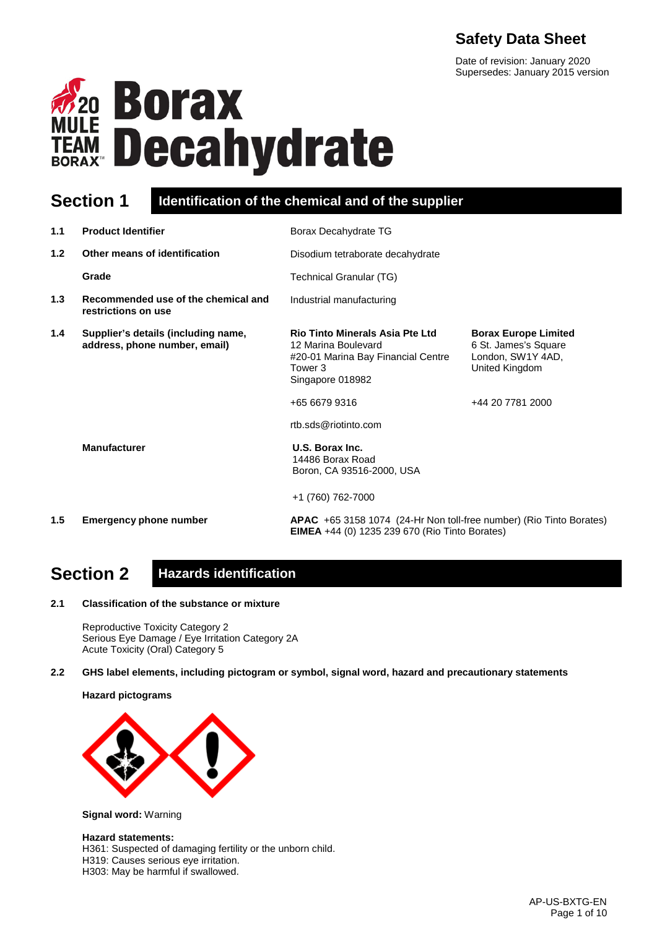# **Safety Data Sheet**

Date of revision: January 2020 Supersedes: January 2015 version



## **Section 1 Identification of the chemical and of the supplier**

| 1.1 | <b>Product Identifier</b>                                            | Borax Decahydrate TG                                                                                                               |                                                                                            |
|-----|----------------------------------------------------------------------|------------------------------------------------------------------------------------------------------------------------------------|--------------------------------------------------------------------------------------------|
| 1.2 | Other means of identification                                        | Disodium tetraborate decahydrate                                                                                                   |                                                                                            |
|     | Grade                                                                | Technical Granular (TG)                                                                                                            |                                                                                            |
| 1.3 | Recommended use of the chemical and<br>restrictions on use           | Industrial manufacturing                                                                                                           |                                                                                            |
| 1.4 | Supplier's details (including name,<br>address, phone number, email) | <b>Rio Tinto Minerals Asia Pte Ltd</b><br>12 Marina Boulevard<br>#20-01 Marina Bay Financial Centre<br>Tower 3<br>Singapore 018982 | <b>Borax Europe Limited</b><br>6 St. James's Square<br>London, SW1Y 4AD,<br>United Kingdom |
|     |                                                                      | +65 6679 9316<br>rtb.sds@riotinto.com                                                                                              | +44 20 7781 2000                                                                           |
|     | <b>Manufacturer</b>                                                  | U.S. Borax Inc.<br>14486 Borax Road<br>Boron, CA 93516-2000, USA                                                                   |                                                                                            |
|     |                                                                      | +1 (760) 762-7000                                                                                                                  |                                                                                            |
| 1.5 | <b>Emergency phone number</b>                                        | APAC +65 3158 1074 (24-Hr Non toll-free number) (Rio Tinto Borates)<br><b>EIMEA</b> +44 (0) 1235 239 670 (Rio Tinto Borates)       |                                                                                            |

# **Section 2 Hazards identification**

**2.1 Classification of the substance or mixture**

Reproductive Toxicity Category 2 Serious Eye Damage / Eye Irritation Category 2A Acute Toxicity (Oral) Category 5

**2.2 GHS label elements, including pictogram or symbol, signal word, hazard and precautionary statements** 

**Hazard pictograms**



**Signal word:** Warning

#### **Hazard statements:**

H361: Suspected of damaging fertility or the unborn child.

H319: Causes serious eye irritation.

H303: May be harmful if swallowed.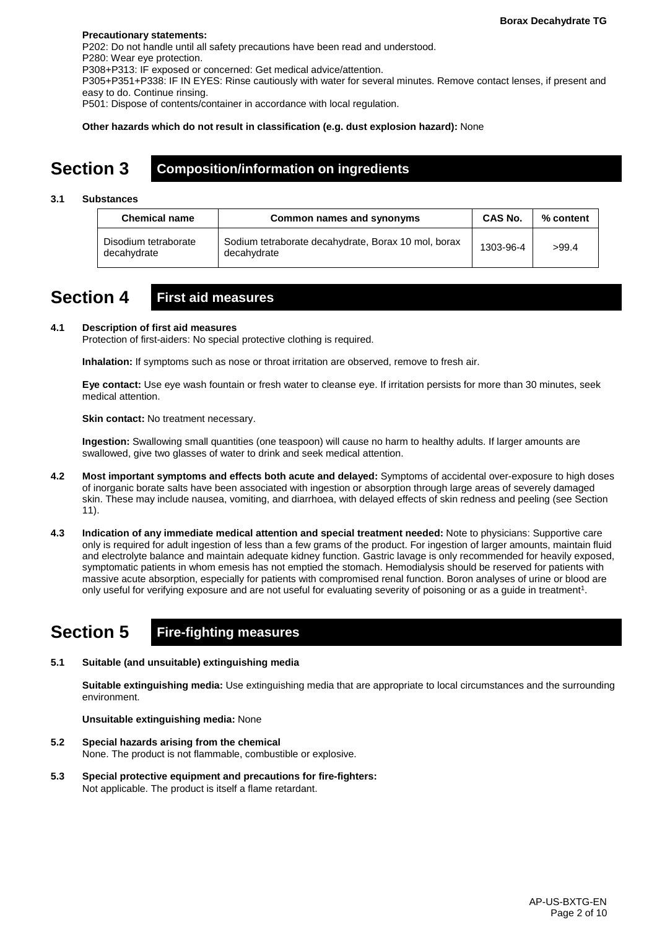#### **Precautionary statements:**

P202: Do not handle until all safety precautions have been read and understood. P280: Wear eye protection. P308+P313: IF exposed or concerned: Get medical advice/attention. P305+P351+P338: IF IN EYES: Rinse cautiously with water for several minutes. Remove contact lenses, if present and easy to do. Continue rinsing. P501: Dispose of contents/container in accordance with local regulation.

**Other hazards which do not result in classification (e.g. dust explosion hazard):** None

## **Section 3 Composition/information on ingredients**

#### **3.1 Substances**

| <b>Chemical name</b>                | Common names and synonyms                                          | <b>CAS No.</b> | % content |
|-------------------------------------|--------------------------------------------------------------------|----------------|-----------|
| Disodium tetraborate<br>decahydrate | Sodium tetraborate decahydrate, Borax 10 mol, borax<br>decahydrate | 1303-96-4      | >99.4     |

## **Section 4 First aid measures**

### **4.1 Description of first aid measures**

Protection of first-aiders: No special protective clothing is required.

**Inhalation:** If symptoms such as nose or throat irritation are observed, remove to fresh air.

**Eye contact:** Use eye wash fountain or fresh water to cleanse eye. If irritation persists for more than 30 minutes, seek medical attention.

**Skin contact:** No treatment necessary.

**Ingestion:** Swallowing small quantities (one teaspoon) will cause no harm to healthy adults. If larger amounts are swallowed, give two glasses of water to drink and seek medical attention.

- **4.2 Most important symptoms and effects both acute and delayed:** Symptoms of accidental over-exposure to high doses of inorganic borate salts have been associated with ingestion or absorption through large areas of severely damaged skin. These may include nausea, vomiting, and diarrhoea, with delayed effects of skin redness and peeling (see Section 11).
- **4.3 Indication of any immediate medical attention and special treatment needed:** Note to physicians: Supportive care only is required for adult ingestion of less than a few grams of the product. For ingestion of larger amounts, maintain fluid and electrolyte balance and maintain adequate kidney function. Gastric lavage is only recommended for heavily exposed, symptomatic patients in whom emesis has not emptied the stomach. Hemodialysis should be reserved for patients with massive acute absorption, especially for patients with compromised renal function. Boron analyses of urine or blood are only useful for verifying exposure and are not useful for evaluating severity of poisoning or as a guide in treatment1.

## **Section 5 Fire-fighting measures**

**5.1 Suitable (and unsuitable) extinguishing media**

**Suitable extinguishing media:** Use extinguishing media that are appropriate to local circumstances and the surrounding environment.

**Unsuitable extinguishing media:** None

- **5.2 Special hazards arising from the chemical** None. The product is not flammable, combustible or explosive.
- **5.3 Special protective equipment and precautions for fire-fighters:**  Not applicable. The product is itself a flame retardant.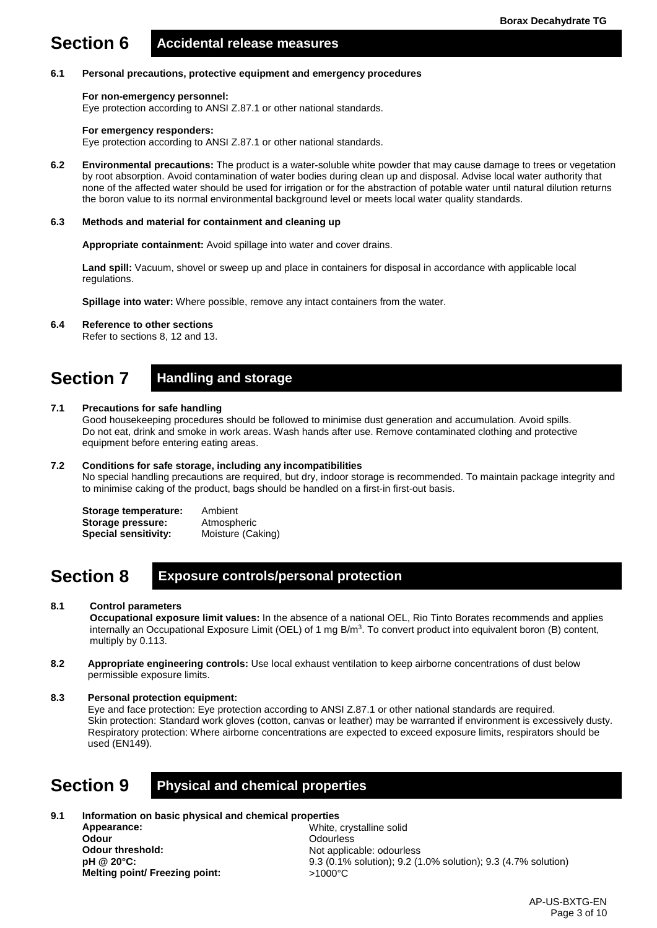# **Section 6 Accidental release measures**

#### **6.1 Personal precautions, protective equipment and emergency procedures**

#### **For non-emergency personnel:**

Eye protection according to ANSI Z.87.1 or other national standards.

#### **For emergency responders:**

Eye protection according to ANSI Z.87.1 or other national standards.

**6.2 Environmental precautions:** The product is a water-soluble white powder that may cause damage to trees or vegetation by root absorption. Avoid contamination of water bodies during clean up and disposal. Advise local water authority that none of the affected water should be used for irrigation or for the abstraction of potable water until natural dilution returns the boron value to its normal environmental background level or meets local water quality standards.

#### **6.3 Methods and material for containment and cleaning up**

**Appropriate containment:** Avoid spillage into water and cover drains.

**Land spill:** Vacuum, shovel or sweep up and place in containers for disposal in accordance with applicable local regulations.

**Spillage into water:** Where possible, remove any intact containers from the water.

**6.4 Reference to other sections**

Refer to sections 8, 12 and 13.

## **Section 7 Handling and storage**

### **7.1 Precautions for safe handling**

Good housekeeping procedures should be followed to minimise dust generation and accumulation. Avoid spills. Do not eat, drink and smoke in work areas. Wash hands after use. Remove contaminated clothing and protective equipment before entering eating areas.

#### **7.2 Conditions for safe storage, including any incompatibilities**

No special handling precautions are required, but dry, indoor storage is recommended. To maintain package integrity and to minimise caking of the product, bags should be handled on a first-in first-out basis.

**Storage temperature:** Ambient<br> **Storage pressure:** Atmospheric **Storage pressure: Special sensitivity:** Moisture (Caking)

## **Section 8 Exposure controls/personal protection**

#### **8.1 Control parameters**

**Occupational exposure limit values:** In the absence of a national OEL, Rio Tinto Borates recommends and applies internally an Occupational Exposure Limit (OEL) of 1 mg  $B/m<sup>3</sup>$ . To convert product into equivalent boron (B) content, multiply by 0.113.

- **8.2 Appropriate engineering controls:** Use local exhaust ventilation to keep airborne concentrations of dust below permissible exposure limits.
- **8.3 Personal protection equipment:**

Eye and face protection: Eye protection according to ANSI Z.87.1 or other national standards are required. Skin protection: Standard work gloves (cotton, canvas or leather) may be warranted if environment is excessively dusty. Respiratory protection: Where airborne concentrations are expected to exceed exposure limits, respirators should be used (EN149).

## **Section 9 Physical and chemical properties**

**9.1 Information on basic physical and chemical properties Appearance: Odour Odour threshold: pH @ 20°C: Melting point/ Freezing point:** White, crystalline solid **Odourless** Not applicable: odourless 9.3 (0.1% solution); 9.2 (1.0% solution); 9.3 (4.7% solution) >1000°C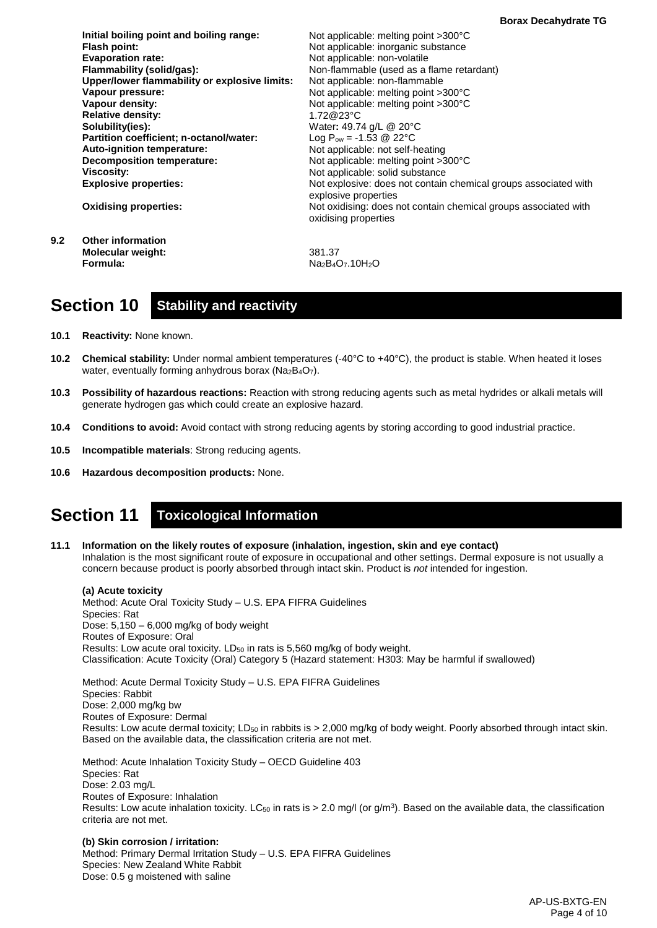| Initial boiling point and boiling range:      | Not applicable: melting point $>300^{\circ}$ C                                          |
|-----------------------------------------------|-----------------------------------------------------------------------------------------|
| Flash point:                                  | Not applicable: inorganic substance                                                     |
| <b>Evaporation rate:</b>                      | Not applicable: non-volatile                                                            |
| Flammability (solid/gas):                     | Non-flammable (used as a flame retardant)                                               |
| Upper/lower flammability or explosive limits: | Not applicable: non-flammable                                                           |
| Vapour pressure:                              | Not applicable: melting point $>300^{\circ}$ C                                          |
| Vapour density:                               | Not applicable: melting point >300°C                                                    |
| <b>Relative density:</b>                      | 1.72@23°C                                                                               |
| Solubility(ies):                              | Water: 49.74 g/L @ 20°C                                                                 |
| Partition coefficient; n-octanol/water:       | Log $P_{ow} = -1.53$ @ 22°C                                                             |
| Auto-ignition temperature:                    | Not applicable: not self-heating                                                        |
| <b>Decomposition temperature:</b>             | Not applicable: melting point >300°C                                                    |
| <b>Viscosity:</b>                             | Not applicable: solid substance                                                         |
| <b>Explosive properties:</b>                  | Not explosive: does not contain chemical groups associated with<br>explosive properties |
| <b>Oxidising properties:</b>                  | Not oxidising: does not contain chemical groups associated with<br>oxidising properties |
| <b>Other information</b>                      |                                                                                         |

**9.2 Other information Molecular weight: Formula:**

381.37 Na<sub>2</sub>B<sub>4</sub>O<sub>7</sub>.10H<sub>2</sub>O

## **Section 10 Stability and reactivity**

- **10.1 Reactivity:** None known.
- **10.2 Chemical stability:** Under normal ambient temperatures (-40°C to +40°C), the product is stable. When heated it loses water, eventually forming anhydrous borax (Na<sub>2</sub>B<sub>4</sub>O<sub>7</sub>).
- **10.3 Possibility of hazardous reactions:** Reaction with strong reducing agents such as metal hydrides or alkali metals will generate hydrogen gas which could create an explosive hazard.
- **10.4 Conditions to avoid:** Avoid contact with strong reducing agents by storing according to good industrial practice.
- **10.5 Incompatible materials**: Strong reducing agents.
- **10.6 Hazardous decomposition products:** None.

## **Section 11 Toxicological Information**

**11.1 Information on the likely routes of exposure (inhalation, ingestion, skin and eye contact)** Inhalation is the most significant route of exposure in occupational and other settings. Dermal exposure is not usually a concern because product is poorly absorbed through intact skin. Product is *not* intended for ingestion.

**(a) Acute toxicity** Method: Acute Oral Toxicity Study – U.S. EPA FIFRA Guidelines Species: Rat Dose:  $5,150 - 6,000$  mg/kg of body weight Routes of Exposure: Oral Results: Low acute oral toxicity. LD<sub>50</sub> in rats is 5,560 mg/kg of body weight. Classification: Acute Toxicity (Oral) Category 5 (Hazard statement: H303: May be harmful if swallowed)

Method: Acute Dermal Toxicity Study – U.S. EPA FIFRA Guidelines Species: Rabbit Dose: 2,000 mg/kg bw Routes of Exposure: Dermal Results: Low acute dermal toxicity; LD<sub>50</sub> in rabbits is > 2,000 mg/kg of body weight. Poorly absorbed through intact skin. Based on the available data, the classification criteria are not met.

Method: Acute Inhalation Toxicity Study – OECD Guideline 403 Species: Rat Dose: 2.03 mg/L Routes of Exposure: Inhalation Results: Low acute inhalation toxicity. LC<sub>50</sub> in rats is > 2.0 mg/l (or g/m<sup>3</sup>). Based on the available data, the classification criteria are not met.

**(b) Skin corrosion / irritation:** Method: Primary Dermal Irritation Study – U.S. EPA FIFRA Guidelines Species: New Zealand White Rabbit Dose: 0.5 g moistened with saline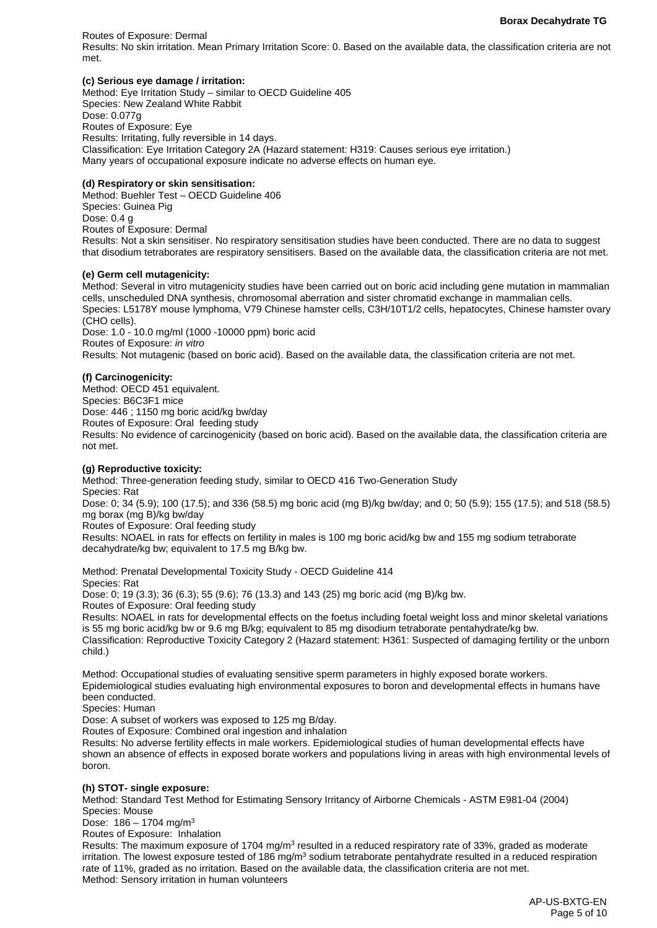Routes of Exposure: Dermal Results: No skin irritation. Mean Primary Irritation Score: 0. Based on the available data, the classification criteria are not met.

### **(c) Serious eye damage / irritation:**

Method: Eye Irritation Study – similar to OECD Guideline 405 Species: New Zealand White Rabbit Dose: 0.077g Routes of Exposure: Eye Results: Irritating, fully reversible in 14 days. Classification: Eye Irritation Category 2A (Hazard statement: H319: Causes serious eye irritation.) Many years of occupational exposure indicate no adverse effects on human eye.

### **(d) Respiratory or skin sensitisation:**

Method: Buehler Test – OECD Guideline 406 Species: Guinea Pig Dose: 0.4 g Routes of Exposure: Dermal Results: Not a skin sensitiser. No respiratory sensitisation studies have been conducted. There are no data to suggest that disodium tetraborates are respiratory sensitisers. Based on the available data, the classification criteria are not met.

#### **(e) Germ cell mutagenicity:**

Method: Several in vitro mutagenicity studies have been carried out on boric acid including gene mutation in mammalian cells, unscheduled DNA synthesis, chromosomal aberration and sister chromatid exchange in mammalian cells. Species: L5178Y mouse lymphoma, V79 Chinese hamster cells, C3H/10T1/2 cells, hepatocytes, Chinese hamster ovary (CHO cells).

Dose: 1.0 - 10.0 mg/ml (1000 -10000 ppm) boric acid Routes of Exposure: *in vitro* Results: Not mutagenic (based on boric acid). Based on the available data, the classification criteria are not met.

### **(f) Carcinogenicity:**

Method: OECD 451 equivalent. Species: B6C3F1 mice Dose: 446 ; 1150 mg boric acid/kg bw/day Routes of Exposure: Oral feeding study Results: No evidence of carcinogenicity (based on boric acid). Based on the available data, the classification criteria are not met.

### **(g) Reproductive toxicity:**

Method: Three-generation feeding study, similar to OECD 416 Two-Generation Study Species: Rat Dose: 0; 34 (5.9); 100 (17.5); and 336 (58.5) mg boric acid (mg B)/kg bw/day; and 0; 50 (5.9); 155 (17.5); and 518 (58.5) mg borax (mg B)/kg bw/day Routes of Exposure: Oral feeding study Results: NOAEL in rats for effects on fertility in males is 100 mg boric acid/kg bw and 155 mg sodium tetraborate decahydrate/kg bw; equivalent to 17.5 mg B/kg bw.

Method: Prenatal Developmental Toxicity Study - OECD Guideline 414 Species: Rat

Dose: 0; 19 (3.3); 36 (6.3); 55 (9.6); 76 (13.3) and 143 (25) mg boric acid (mg B)/kg bw.

Routes of Exposure: Oral feeding study

Results: NOAEL in rats for developmental effects on the foetus including foetal weight loss and minor skeletal variations is 55 mg boric acid/kg bw or 9.6 mg B/kg; equivalent to 85 mg disodium tetraborate pentahydrate/kg bw.

Classification: Reproductive Toxicity Category 2 (Hazard statement: H361: Suspected of damaging fertility or the unborn child.)

Method: Occupational studies of evaluating sensitive sperm parameters in highly exposed borate workers. Epidemiological studies evaluating high environmental exposures to boron and developmental effects in humans have been conducted.

Species: Human

Dose: A subset of workers was exposed to 125 mg B/day.

Routes of Exposure: Combined oral ingestion and inhalation

Results: No adverse fertility effects in male workers. Epidemiological studies of human developmental effects have shown an absence of effects in exposed borate workers and populations living in areas with high environmental levels of boron.

#### **(h) STOT- single exposure:**

Method: Standard Test Method for Estimating Sensory Irritancy of Airborne Chemicals - ASTM E981-04 (2004) Species: Mouse

Dose:  $186 - 1704$  mg/m<sup>3</sup>

Routes of Exposure: Inhalation Results: The maximum exposure of 1704 mg/m<sup>3</sup> resulted in a reduced respiratory rate of 33%, graded as moderate irritation. The lowest exposure tested of 186 mg/m<sup>3</sup> sodium tetraborate pentahydrate resulted in a reduced respiration rate of 11%, graded as no irritation. Based on the available data, the classification criteria are not met. Method: Sensory irritation in human volunteers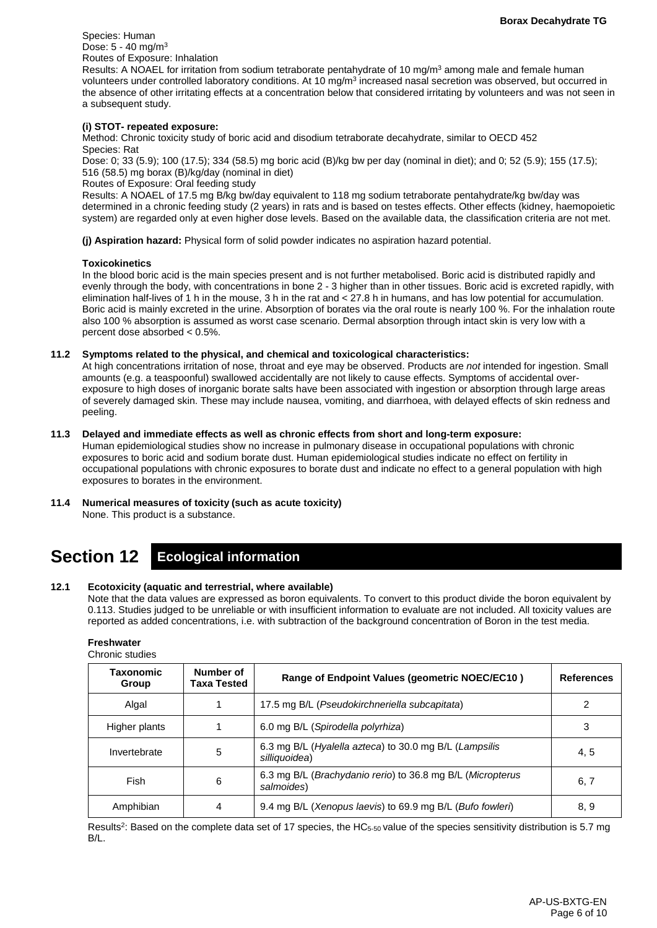Species: Human Dose: 5 - 40 mg/m3 Routes of Exposure: Inhalation

Results: A NOAEL for irritation from sodium tetraborate pentahydrate of 10 mg/m<sup>3</sup> among male and female human volunteers under controlled laboratory conditions. At 10 mg/m<sup>3</sup> increased nasal secretion was observed, but occurred in the absence of other irritating effects at a concentration below that considered irritating by volunteers and was not seen in a subsequent study.

#### **(i) STOT- repeated exposure:**

Method: Chronic toxicity study of boric acid and disodium tetraborate decahydrate, similar to OECD 452 Species: Rat

Dose: 0; 33 (5.9); 100 (17.5); 334 (58.5) mg boric acid (B)/kg bw per day (nominal in diet); and 0; 52 (5.9); 155 (17.5); 516 (58.5) mg borax (B)/kg/day (nominal in diet)

Routes of Exposure: Oral feeding study

Results: A NOAEL of 17.5 mg B/kg bw/day equivalent to 118 mg sodium tetraborate pentahydrate/kg bw/day was determined in a chronic feeding study (2 years) in rats and is based on testes effects. Other effects (kidney, haemopoietic system) are regarded only at even higher dose levels. Based on the available data, the classification criteria are not met.

**(j) Aspiration hazard:** Physical form of solid powder indicates no aspiration hazard potential.

#### **Toxicokinetics**

In the blood boric acid is the main species present and is not further metabolised. Boric acid is distributed rapidly and evenly through the body, with concentrations in bone 2 - 3 higher than in other tissues. Boric acid is excreted rapidly, with elimination half-lives of 1 h in the mouse, 3 h in the rat and < 27.8 h in humans, and has low potential for accumulation. Boric acid is mainly excreted in the urine. Absorption of borates via the oral route is nearly 100 %. For the inhalation route also 100 % absorption is assumed as worst case scenario. Dermal absorption through intact skin is very low with a percent dose absorbed < 0.5%.

### **11.2 Symptoms related to the physical, and chemical and toxicological characteristics:**

At high concentrations irritation of nose, throat and eye may be observed. Products are *not* intended for ingestion. Small amounts (e.g. a teaspoonful) swallowed accidentally are not likely to cause effects. Symptoms of accidental overexposure to high doses of inorganic borate salts have been associated with ingestion or absorption through large areas of severely damaged skin. These may include nausea, vomiting, and diarrhoea, with delayed effects of skin redness and peeling.

### **11.3 Delayed and immediate effects as well as chronic effects from short and long-term exposure:**

Human epidemiological studies show no increase in pulmonary disease in occupational populations with chronic exposures to boric acid and sodium borate dust. Human epidemiological studies indicate no effect on fertility in occupational populations with chronic exposures to borate dust and indicate no effect to a general population with high exposures to borates in the environment.

## **11.4 Numerical measures of toxicity (such as acute toxicity)**

None. This product is a substance.

# **Section 12 Ecological information**

#### **12.1 Ecotoxicity (aquatic and terrestrial, where available)**

Note that the data values are expressed as boron equivalents. To convert to this product divide the boron equivalent by 0.113. Studies judged to be unreliable or with insufficient information to evaluate are not included. All toxicity values are reported as added concentrations, i.e. with subtraction of the background concentration of Boron in the test media.

### **Freshwater**

| Chronic studies |
|-----------------|
|-----------------|

| Taxonomic<br>Group | Number of<br>Taxa Tested | Range of Endpoint Values (geometric NOEC/EC10)                           | <b>References</b> |
|--------------------|--------------------------|--------------------------------------------------------------------------|-------------------|
| Algal              |                          | 17.5 mg B/L (Pseudokirchneriella subcapitata)                            |                   |
| Higher plants      |                          | 6.0 mg B/L (Spirodella polyrhiza)                                        | 3                 |
| Invertebrate       | 5                        | 6.3 mg B/L (Hyalella azteca) to 30.0 mg B/L (Lampsilis<br>silliquoidea)  | 4, 5              |
| Fish               | 6                        | 6.3 mg B/L (Brachydanio rerio) to 36.8 mg B/L (Micropterus<br>salmoides) | 6, 7              |
| Amphibian          | 4                        | 9.4 mg B/L (Xenopus laevis) to 69.9 mg B/L (Bufo fowleri)                | 8,9               |

Results<sup>2</sup>: Based on the complete data set of 17 species, the HC $_{5-50}$  value of the species sensitivity distribution is 5.7 mg B/L.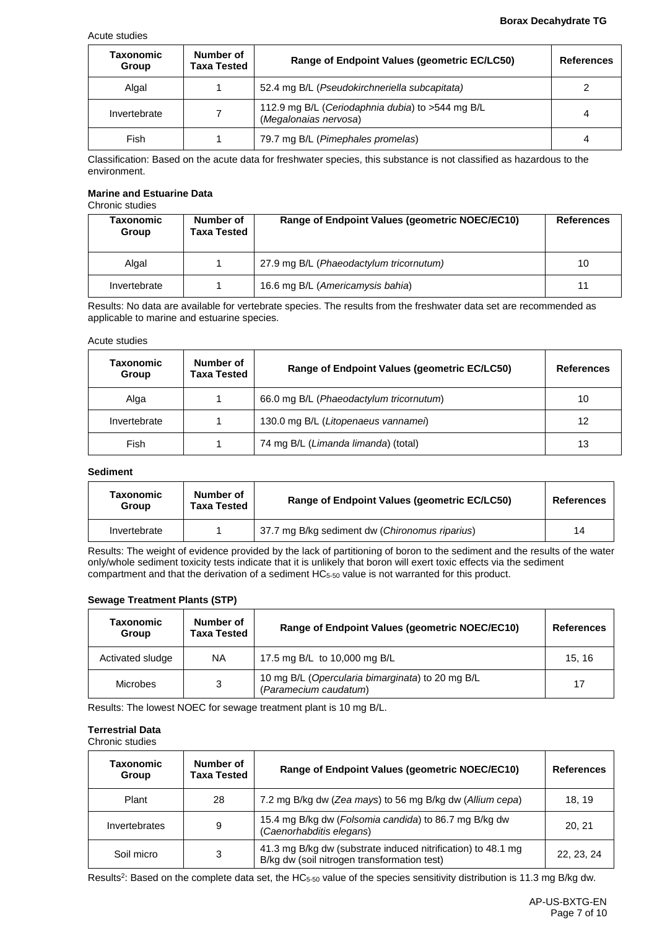#### Acute studies

#### **Borax Decahydrate TG**

| Taxonomic<br>Group | Number of<br>Taxa Tested | Range of Endpoint Values (geometric EC/LC50)                              | <b>References</b> |
|--------------------|--------------------------|---------------------------------------------------------------------------|-------------------|
| Algal              |                          | 52.4 mg B/L (Pseudokirchneriella subcapitata)                             |                   |
| Invertebrate       |                          | 112.9 mg B/L (Ceriodaphnia dubia) to >544 mg B/L<br>(Megalonaias nervosa) | 4                 |
| Fish               |                          | 79.7 mg B/L (Pimephales promelas)                                         | 4                 |

Classification: Based on the acute data for freshwater species, this substance is not classified as hazardous to the environment.

#### **Marine and Estuarine Data** Chronic studies

| Taxonomic<br>Group | Number of<br>Taxa Tested | Range of Endpoint Values (geometric NOEC/EC10) | <b>References</b> |
|--------------------|--------------------------|------------------------------------------------|-------------------|
| Algal              |                          | 27.9 mg B/L (Phaeodactylum tricornutum)        | 10                |
| Invertebrate       |                          | 16.6 mg B/L (Americamysis bahia)               | 11                |

Results: No data are available for vertebrate species. The results from the freshwater data set are recommended as applicable to marine and estuarine species.

#### Acute studies

| <b>Taxonomic</b><br>Group | Number of<br><b>Taxa Tested</b> | Range of Endpoint Values (geometric EC/LC50) | <b>References</b> |
|---------------------------|---------------------------------|----------------------------------------------|-------------------|
| Alga                      |                                 | 66.0 mg B/L (Phaeodactylum tricornutum)      | 10                |
| Invertebrate              |                                 | 130.0 mg B/L (Litopenaeus vannamei)          | 12                |
| Fish                      |                                 | 74 mg B/L (Limanda limanda) (total)          | 13                |

### **Sediment**

| Taxonomic<br>Group | Number of<br><b>Taxa Tested</b> | Range of Endpoint Values (geometric EC/LC50)   | <b>References</b> |
|--------------------|---------------------------------|------------------------------------------------|-------------------|
| Invertebrate       |                                 | 37.7 mg B/kg sediment dw (Chironomus riparius) | 14                |

Results: The weight of evidence provided by the lack of partitioning of boron to the sediment and the results of the water only/whole sediment toxicity tests indicate that it is unlikely that boron will exert toxic effects via the sediment compartment and that the derivation of a sediment HC5-50 value is not warranted for this product.

## **Sewage Treatment Plants (STP)**

| Taxonomic<br>Group | Number of<br><b>Taxa Tested</b> | Range of Endpoint Values (geometric NOEC/EC10)                            | <b>References</b> |
|--------------------|---------------------------------|---------------------------------------------------------------------------|-------------------|
| Activated sludge   | ΝA                              | 17.5 mg B/L to 10,000 mg B/L                                              | 15.16             |
| <b>Microbes</b>    | 3                               | 10 mg B/L (Opercularia bimarginata) to 20 mg B/L<br>(Paramecium caudatum) | 17                |

Results: The lowest NOEC for sewage treatment plant is 10 mg B/L.

## **Terrestrial Data**

Chronic studies

| Taxonomic<br>Group | Number of<br><b>Taxa Tested</b> | Range of Endpoint Values (geometric NOEC/EC10)                                                              | <b>References</b> |
|--------------------|---------------------------------|-------------------------------------------------------------------------------------------------------------|-------------------|
| Plant              | 28                              | 7.2 mg B/kg dw (Zea mays) to 56 mg B/kg dw (Allium cepa)                                                    | 18.19             |
| Invertebrates      | 9                               | 15.4 mg B/kg dw (Folsomia candida) to 86.7 mg B/kg dw<br>(Caenorhabditis elegans)                           | 20, 21            |
| Soil micro         | 3                               | 41.3 mg B/kg dw (substrate induced nitrification) to 48.1 mg<br>B/kg dw (soil nitrogen transformation test) | 22, 23, 24        |

Results<sup>2</sup>: Based on the complete data set, the HC<sub>5-50</sub> value of the species sensitivity distribution is 11.3 mg B/kg dw.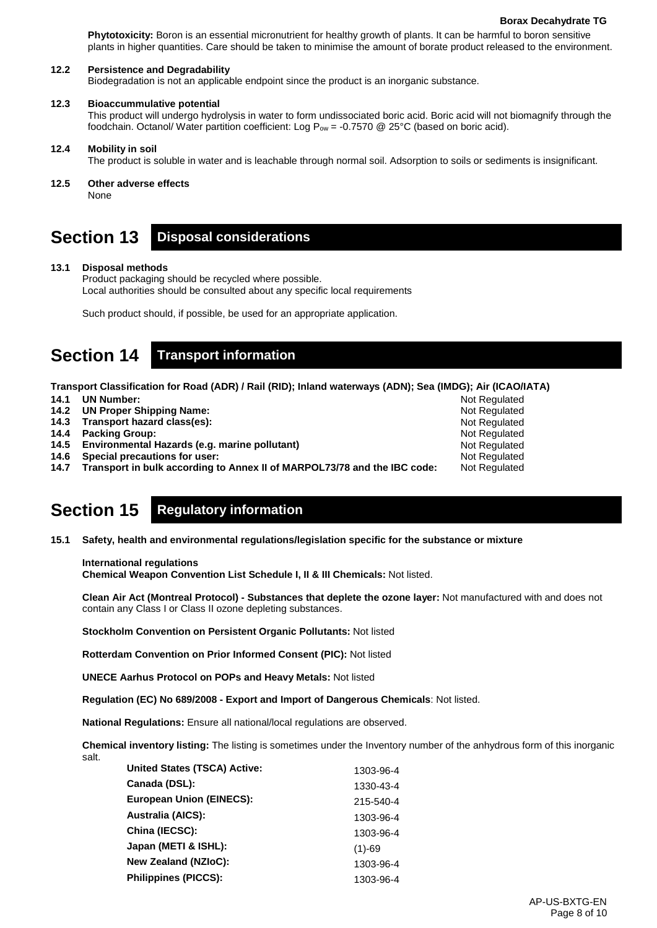**Phytotoxicity:** Boron is an essential micronutrient for healthy growth of plants. It can be harmful to boron sensitive plants in higher quantities. Care should be taken to minimise the amount of borate product released to the environment.

#### **12.2 Persistence and Degradability**

Biodegradation is not an applicable endpoint since the product is an inorganic substance.

#### **12.3 Bioaccummulative potential**

This product will undergo hydrolysis in water to form undissociated boric acid. Boric acid will not biomagnify through the foodchain. Octanol/ Water partition coefficient: Log  $P_{ow} = -0.7570$  @ 25°C (based on boric acid).

#### **12.4 Mobility in soil**

The product is soluble in water and is leachable through normal soil. Adsorption to soils or sediments is insignificant.

**12.5 Other adverse effects**

None

# **Section 13 Disposal considerations**

### **13.1 Disposal methods**

Product packaging should be recycled where possible. Local authorities should be consulted about any specific local requirements

Such product should, if possible, be used for an appropriate application.

# **Section 14 Transport information**

**Transport Classification for Road (ADR) / Rail (RID); Inland waterways (ADN); Sea (IMDG); Air (ICAO/IATA) 14.1 UN Number:**  Not Regulated

- **14.2 UN Proper Shipping Name:**
- **14.3 Transport hazard class(es):**
- **14.4 Packing Group:**
- **14.5 Environmental Hazards (e.g. marine pollutant)**
- **14.6 Special precautions for user:**
- **14.7 Transport in bulk according to Annex II of MARPOL73/78 and the IBC code:**

# **Section 15 Regulatory information**

**15.1 Safety, health and environmental regulations/legislation specific for the substance or mixture**

### **International regulations**

**Chemical Weapon Convention List Schedule I, II & III Chemicals:** Not listed.

**Clean Air Act (Montreal Protocol) - Substances that deplete the ozone layer:** Not manufactured with and does not contain any Class I or Class II ozone depleting substances.

**Stockholm Convention on Persistent Organic Pollutants:** Not listed

**Rotterdam Convention on Prior Informed Consent (PIC):** Not listed

**UNECE Aarhus Protocol on POPs and Heavy Metals:** Not listed

**Regulation (EC) No 689/2008 - Export and Import of Dangerous Chemicals**: Not listed.

**National Regulations:** Ensure all national/local regulations are observed.

**Chemical inventory listing:** The listing is sometimes under the Inventory number of the anhydrous form of this inorganic salt.

| 1303-96-4 |
|-----------|
| 1330-43-4 |
| 215-540-4 |
| 1303-96-4 |
| 1303-96-4 |
| $(1)-69$  |
| 1303-96-4 |
| 1303-96-4 |
|           |

Not Regulated Not Regulated Not Regulated Not Regulated Not Regulated Not Regulated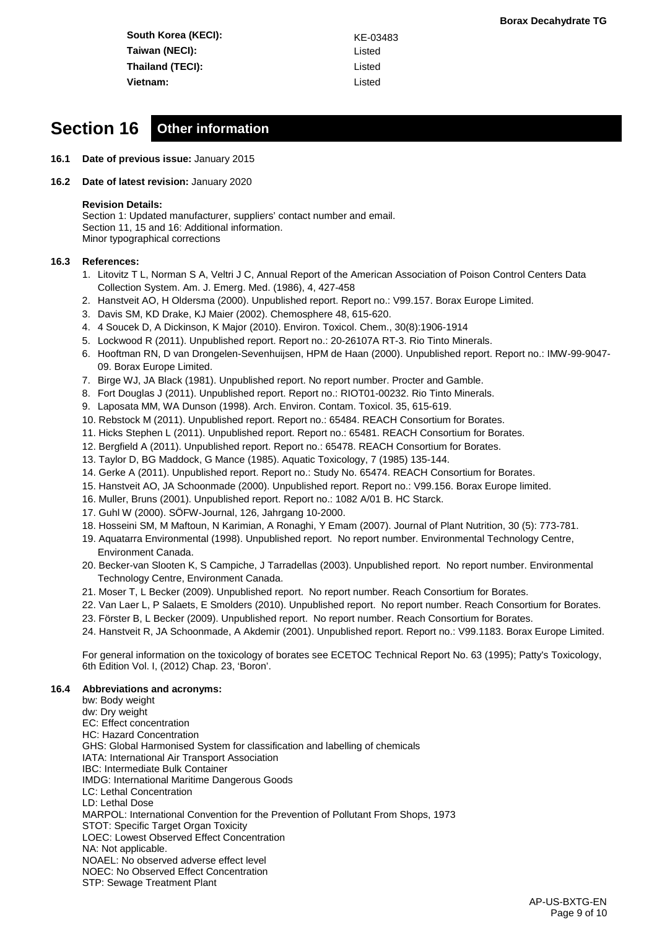**South Korea (KECI):** KE-03483 **Taiwan (NECI):** Listed **Thailand (TECI):** Listed **Vietnam:** Listed

# **Section 16 Other information**

- **16.1 Date of previous issue:** January 2015
- **16.2 Date of latest revision:** January 2020

#### **Revision Details:**

Section 1: Updated manufacturer, suppliers' contact number and email. Section 11, 15 and 16: Additional information. Minor typographical corrections

#### **16.3 References:**

- 1. Litovitz T L, Norman S A, Veltri J C, Annual Report of the American Association of Poison Control Centers Data Collection System. Am. J. Emerg. Med. (1986), 4, 427-458
- 2. Hanstveit AO, H Oldersma (2000). Unpublished report. Report no.: V99.157. Borax Europe Limited.
- 3. Davis SM, KD Drake, KJ Maier (2002). Chemosphere 48, 615-620.
- 4. 4 Soucek D, A Dickinson, K Major (2010). Environ. Toxicol. Chem., 30(8):1906-1914
- 5. Lockwood R (2011). Unpublished report. Report no.: 20-26107A RT-3. Rio Tinto Minerals.
- 6. Hooftman RN, D van Drongelen-Sevenhuijsen, HPM de Haan (2000). Unpublished report. Report no.: IMW-99-9047- 09. Borax Europe Limited.
- 7. Birge WJ, JA Black (1981). Unpublished report. No report number. Procter and Gamble.
- 8. Fort Douglas J (2011). Unpublished report. Report no.: RIOT01-00232. Rio Tinto Minerals.
- 9. Laposata MM, WA Dunson (1998). Arch. Environ. Contam. Toxicol. 35, 615-619.
- 10. Rebstock M (2011). Unpublished report. Report no.: 65484. REACH Consortium for Borates.
- 11. Hicks Stephen L (2011). Unpublished report. Report no.: 65481. REACH Consortium for Borates.
- 12. Bergfield A (2011). Unpublished report. Report no.: 65478. REACH Consortium for Borates.
- 13. Taylor D, BG Maddock, G Mance (1985). Aquatic Toxicology, 7 (1985) 135-144.
- 14. Gerke A (2011). Unpublished report. Report no.: Study No. 65474. REACH Consortium for Borates.
- 15. Hanstveit AO, JA Schoonmade (2000). Unpublished report. Report no.: V99.156. Borax Europe limited.
- 16. Muller, Bruns (2001). Unpublished report. Report no.: 1082 A/01 B. HC Starck.
- 17. Guhl W (2000). SÖFW-Journal, 126, Jahrgang 10-2000.
- 18. Hosseini SM, M Maftoun, N Karimian, A Ronaghi, Y Emam (2007). Journal of Plant Nutrition, 30 (5): 773-781.
- 19. Aquatarra Environmental (1998). Unpublished report. No report number. Environmental Technology Centre, Environment Canada.
- 20. Becker-van Slooten K, S Campiche, J Tarradellas (2003). Unpublished report. No report number. Environmental Technology Centre, Environment Canada.
- 21. Moser T, L Becker (2009). Unpublished report. No report number. Reach Consortium for Borates.
- 22. Van Laer L, P Salaets, E Smolders (2010). Unpublished report. No report number. Reach Consortium for Borates.
- 23. Förster B, L Becker (2009). Unpublished report. No report number. Reach Consortium for Borates.
- 24. Hanstveit R, JA Schoonmade, A Akdemir (2001). Unpublished report. Report no.: V99.1183. Borax Europe Limited.

For general information on the toxicology of borates see ECETOC Technical Report No. 63 (1995); Patty's Toxicology, 6th Edition Vol. I, (2012) Chap. 23, 'Boron'.

#### **16.4 Abbreviations and acronyms:**

bw: Body weight dw: Dry weight EC: Effect concentration HC: Hazard Concentration GHS: Global Harmonised System for classification and labelling of chemicals IATA: International Air Transport Association IBC: Intermediate Bulk Container IMDG: International Maritime Dangerous Goods LC: Lethal Concentration LD: Lethal Dose MARPOL: International Convention for the Prevention of Pollutant From Shops, 1973 STOT: Specific Target Organ Toxicity LOEC: Lowest Observed Effect Concentration NA: Not applicable. NOAEL: No observed adverse effect level NOEC: No Observed Effect Concentration STP: Sewage Treatment Plant